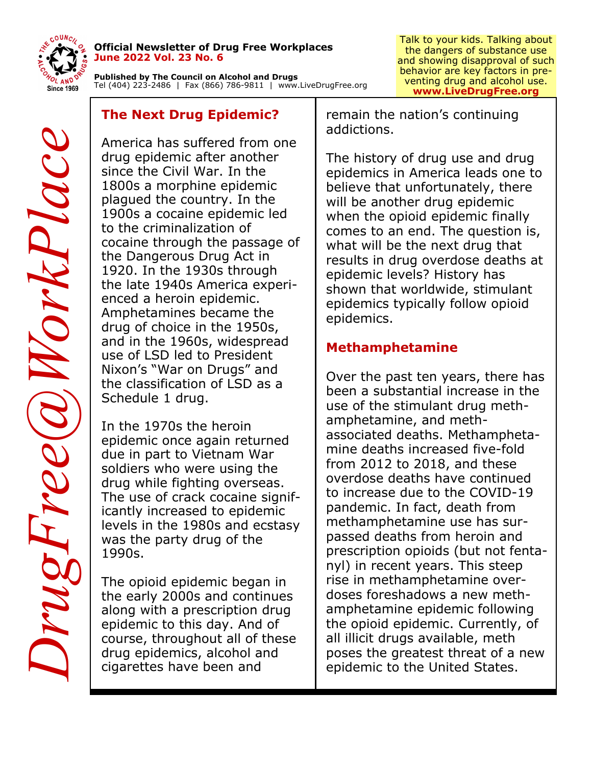

#### **Official Newsletter of Drug Free Workplaces June 2022 Vol. 23 No. 6**

**Published by The Council on Alcohol and Drugs**  Tel (404) 223-2486 | Fax (866) 786-9811 | www.LiveDrugFree.org

# **The Next Drug Epidemic?**

America has suffered from one drug epidemic after another since the Civil War. In the 1800s a morphine epidemic plagued the country. In the 1900s a cocaine epidemic led to the criminalization of cocaine through the passage of the Dangerous Drug Act in 1920. In the 1930s through the late 1940s America experienced a heroin epidemic. Amphetamines became the drug of choice in the 1950s, and in the 1960s, widespread use of LSD led to President Nixon's "War on Drugs" and the classification of LSD as a Schedule 1 drug.

In the 1970s the heroin epidemic once again returned due in part to Vietnam War soldiers who were using the drug while fighting overseas. The use of crack cocaine significantly increased to epidemic levels in the 1980s and ecstasy was the party drug of the 1990s.

The opioid epidemic began in the early 2000s and continues along with a prescription drug epidemic to this day. And of course, throughout all of these drug epidemics, alcohol and cigarettes have been and

remain the nation's continuing addictions.

The history of drug use and drug epidemics in America leads one to believe that unfortunately, there will be another drug epidemic when the opioid epidemic finally comes to an end. The question is, what will be the next drug that results in drug overdose deaths at epidemic levels? History has shown that worldwide, stimulant epidemics typically follow opioid epidemics.

# **Methamphetamine**

Over the past ten years, there has been a substantial increase in the use of the stimulant drug methamphetamine, and methassociated deaths. Methamphetamine deaths increased five-fold from 2012 to 2018, and these overdose deaths have continued to increase due to the COVID-19 pandemic. In fact, death from methamphetamine use has surpassed deaths from heroin and prescription opioids (but not fentanyl) in recent years. This steep rise in methamphetamine overdoses foreshadows a new methamphetamine epidemic following the opioid epidemic. Currently, of all illicit drugs available, meth poses the greatest threat of a new epidemic to the United States.